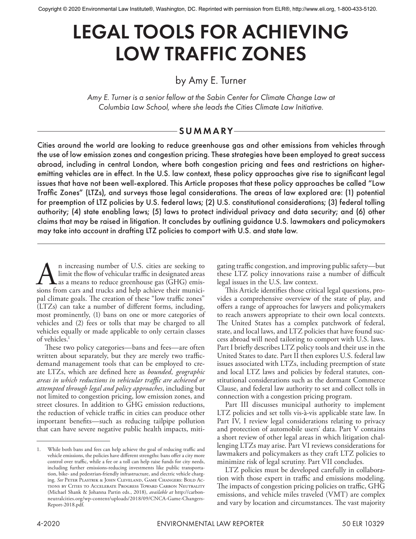# LEGAL TOOLS FOR ACHIEVING LOW TRAFFIC ZONES

# by Amy E. Turner

*Amy E. Turner is a senior fellow at the Sabin Center for Climate Change Law at Columbia Law School, where she leads the Cities Climate Law Initiative.*

## -SUMMARY-

Cities around the world are looking to reduce greenhouse gas and other emissions from vehicles through the use of low emission zones and congestion pricing. These strategies have been employed to great success abroad, including in central London, where both congestion pricing and fees and restrictions on higheremitting vehicles are in effect. In the U.S. law context, these policy approaches give rise to significant legal issues that have not been well-explored. This Article proposes that these policy approaches be called "Low Traffic Zones" (LTZs), and surveys those legal considerations. The areas of law explored are: (1) potential for preemption of LTZ policies by U.S. federal laws; (2) U.S. constitutional considerations; (3) federal tolling authority; (4) state enabling laws; (5) laws to protect individual privacy and data security; and (6) other claims that may be raised in litigation. It concludes by outlining guidance U.S. lawmakers and policymakers may take into account in drafting LTZ policies to comport with U.S. and state law.

An increasing number of U.S. cities are seeking to<br>limit the flow of vehicular traffic in designated areas<br>sions from cars and trucks and help achieve their municilimit the flow of vehicular traffic in designated areas as a means to reduce greenhouse gas (GHG) emissions from cars and trucks and help achieve their municipal climate goals. The creation of these "low traffic zones" (LTZs) can take a number of different forms, including, most prominently, (1) bans on one or more categories of vehicles and (2) fees or tolls that may be charged to all vehicles equally or made applicable to only certain classes of vehicles.1

These two policy categories—bans and fees—are often written about separately, but they are merely two trafficdemand management tools that can be employed to create LTZs, which are defined here as *bounded, geographic areas in which reductions in vehicular traffic are achieved or attempted through legal and policy approaches*, including but not limited to congestion pricing, low emission zones, and street closures. In addition to GHG emission reductions, the reduction of vehicle traffic in cities can produce other important benefits—such as reducing tailpipe pollution that can have severe negative public health impacts, miti-

gating traffic congestion, and improving public safety—but these LTZ policy innovations raise a number of difficult legal issues in the U.S. law context.

This Article identifies those critical legal questions, provides a comprehensive overview of the state of play, and offers a range of approaches for lawyers and policymakers to reach answers appropriate to their own local contexts. The United States has a complex patchwork of federal, state, and local laws, and LTZ policies that have found success abroad will need tailoring to comport with U.S. laws. Part I briefly describes LTZ policy tools and their use in the United States to date. Part II then explores U.S. federal law issues associated with LTZs, including preemption of state and local LTZ laws and policies by federal statutes, constitutional considerations such as the dormant Commerce Clause, and federal law authority to set and collect tolls in connection with a congestion pricing program.

Part III discusses municipal authority to implement LTZ policies and set tolls vis-à-vis applicable state law. In Part IV, I review legal considerations relating to privacy and protection of automobile users' data. Part V contains a short review of other legal areas in which litigation challenging LTZs may arise. Part VI reviews considerations for lawmakers and policymakers as they craft LTZ policies to minimize risk of legal scrutiny. Part VII concludes.

LTZ policies must be developed carefully in collaboration with those expert in traffic and emissions modeling. The impacts of congestion pricing policies on traffic, GHG emissions, and vehicle miles traveled (VMT) are complex and vary by location and circumstances. The vast majority

<sup>1.</sup> While both bans and fees can help achieve the goal of reducing traffic and vehicle emissions, the policies have different strengths: bans offer a city more control over traffic, while a fee or a toll can help raise funds for city needs, including further emissions-reducing investments like public transportation, bike- and pedestrian-friendly infrastructure, and electric vehicle charging. *See* Peter Plastrik & John Cleveland, Game Changers: Bold Actions by Cities to Accelerate Progress Toward Carbon Neutrality (Michael Shank & Johanna Partin eds., 2018), *available at* http://carbonneutralcities.org/wp-content/uploads/2018/09/CNCA-Game-Changers-Report-2018.pdf.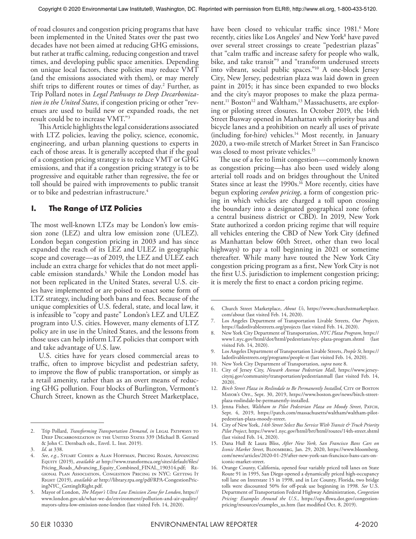of road closures and congestion pricing programs that have been implemented in the United States over the past two decades have not been aimed at reducing GHG emissions, but rather at traffic calming, reducing congestion and travel times, and developing public space amenities. Depending on unique local factors, these policies may reduce VMT (and the emissions associated with them), or may merely shift trips to different routes or times of day.2 Further, as Trip Pollard notes in *Legal Pathways to Deep Decarbonization in the United States*, if congestion pricing or other "revenues are used to build new or expanded roads, the net result could be to increase VMT."3

This Article highlights the legal considerations associated with LTZ policies, leaving the policy, science, economic, engineering, and urban planning questions to experts in each of those areas. It is generally accepted that if the goal of a congestion pricing strategy is to reduce VMT or GHG emissions, and that if a congestion pricing strategy is to be progressive and equitable rather than regressive, the fee or toll should be paired with improvements to public transit or to bike and pedestrian infrastructure.<sup>4</sup>

## **I. The Range of LTZ Policies**

The most well-known LTZs may be London's low emission zone (LEZ) and ultra low emission zone (ULEZ). London began congestion pricing in 2003 and has since expanded the reach of its LEZ and ULEZ in geographic scope and coverage—as of 2019, the LEZ and ULEZ each include an extra charge for vehicles that do not meet applicable emission standards.5 While the London model has not been replicated in the United States, several U.S. cities have implemented or are poised to enact some form of LTZ strategy, including both bans and fees. Because of the unique complexities of U.S. federal, state, and local law, it is infeasible to "copy and paste" London's LEZ and ULEZ program into U.S. cities. However, many elements of LTZ policy are in use in the United States, and the lessons from those uses can help inform LTZ policies that comport with and take advantage of U.S. law.

U.S. cities have for years closed commercial areas to traffic, often to improve bicyclist and pedestrian safety, to improve the flow of public transportation, or simply as a retail amenity, rather than as an overt means of reducing GHG pollution. Four blocks of Burlington, Vermont's Church Street, known as the Church Street Marketplace,

have been closed to vehicular traffic since 1981.<sup>6</sup> More recently, cities like Los Angeles<sup>7</sup> and New York<sup>8</sup> have paved over several street crossings to create "pedestrian plazas" that "calm traffic and increase safety for people who walk, bike, and take transit"<sup>9</sup> and "transform underused streets into vibrant, social public spaces."10 A one-block Jersey City, New Jersey, pedestrian plaza was laid down in green paint in 2015; it has since been expanded to two blocks and the city's mayor proposes to make the plaza permanent.<sup>11</sup> Boston<sup>12</sup> and Waltham,<sup>13</sup> Massachusetts, are exploring or piloting street closures. In October 2019, the 14th Street Busway opened in Manhattan with priority bus and bicycle lanes and a prohibition on nearly all uses of private (including for-hire) vehicles.14 Most recently, in January 2020, a two-mile stretch of Market Street in San Francisco was closed to most private vehicles.<sup>15</sup>

The use of a fee to limit congestion—commonly known as congestion pricing—has also been used widely along arterial toll roads and on bridges throughout the United States since at least the 1990s.<sup>16</sup> More recently, cities have begun exploring *cordon pricing*, a form of congestion pricing in which vehicles are charged a toll upon crossing the boundary into a designated geographical zone (often a central business district or CBD). In 2019, New York State authorized a cordon pricing regime that will require all vehicles entering the CBD of New York City (defined as Manhattan below 60th Street, other than two local highways) to pay a toll beginning in 2021 or sometime thereafter. While many have touted the New York City congestion pricing program as a first, New York City is not the first U.S. jurisdiction to implement congestion pricing; it is merely the first to enact a cordon pricing regime.

<sup>2.</sup> Trip Pollard, *Transforming Transportation Demand*, *in* LEGAL PATHWAYS TO Deep Decarbonization in the United States 339 (Michael B. Gerrard & John C. Dernbach eds., Envtl. L. Inst. 2019).

<sup>3.</sup> *Id*. at 338.

<sup>4.</sup> *See*, *e.g.*, Stuart Cohen & Alan Hoffman, Pricing Roads, Advancing Equity (2019), *available at* http://www.transformca.org/sites/default/files/ Pricing\_Roads\_Advancing\_Equity\_Combined\_FINAL\_190314.pdf; Regional Plan Association, Congestion Pricing in NYC: Getting It Right (2019), *available at* http://library.rpa.org/pdf/RPA-CongestionPricingNYC\_GettingItRight.pdf.

<sup>5.</sup> Mayor of London, *The Mayor's Ultra Low Emission Zone for London*, https:// www.london.gov.uk/what-we-do/environment/pollution-and-air-quality/ mayors-ultra-low-emission-zone-london (last visited Feb. 14, 2020).

<sup>6.</sup> Church Street Marketplace, *About Us*, https://www.churchstmarketplace. com/about (last visited Feb. 14, 2020).

<sup>7.</sup> Los Angeles Department of Transportation Livable Streets, *Our Projects*, https://ladotlivablestreets.org/projects (last visited Feb. 14, 2020).

<sup>8.</sup> New York City Department of Transportation, *NYC Plaza Program*, https:// www1.nyc.gov/html/dot/html/pedestrians/nyc-plaza-program.shtml (last visited Feb. 14, 2020).

<sup>9.</sup> Los Angeles Department of Transportation Livable Streets, *People St*, https:// ladotlivablestreets.org/programs/people-st (last visited Feb. 14, 2020).

<sup>10.</sup> New York City Department of Transportation, *supra* note 8.

City of Jersey City, *Newark Avenue Pedestrian Mall*, https://www.jerseycitynj.gov/community/transportation/pedestrianmall (last visited Feb. 14, 2020).

<sup>12.</sup> *Birch Street Plaza in Roslindale to Be Permanently Installed*, CITY OF BOSTON Mayor's Off., Sept. 30, 2019, https://www.boston.gov/news/birch-streetplaza-roslindale-be-permanently-installed.

<sup>13.</sup> Jenna Fisher, *Waltham to Pilot Pedestrian Plaza on Moody Street*, PATCH, Sept. 4, 2019, https://patch.com/massachusetts/waltham/waltham-pilotpedestrian-plaza-moody-street.

<sup>14.</sup> City of New York, *14th Street Select Bus Service With Transit & Truck Priority Pilot Project*, https://www1.nyc.gov/html/brt/html/routes/14th-street.shtml (last visited Feb. 14, 2020).

<sup>15.</sup> Dana Hull & Laura Bliss, *After New York, San Francisco Bans Cars on Iconic Market Street*, Bloomberg, Jan. 29, 2020, https://www.bloomberg. com/news/articles/2020-01-29/after-new-york-san-francisco-bans-cars-oniconic-market-street.

<sup>16.</sup> Orange County, California, opened four variably priced toll lanes on State Route 91 in 1995, San Diego opened a dynamically priced high-occupancy toll lane on Interstate 15 in 1998, and in Lee County, Florida, two bridge tolls were discounted 50% for off-peak use beginning in 1998. *See* U.S. Department of Transportation Federal Highway Administration, *Congestion Pricing: Examples Around the U.S.*, https://ops.fhwa.dot.gov/congestionpricing/resources/examples\_us.htm (last modified Oct. 8, 2019).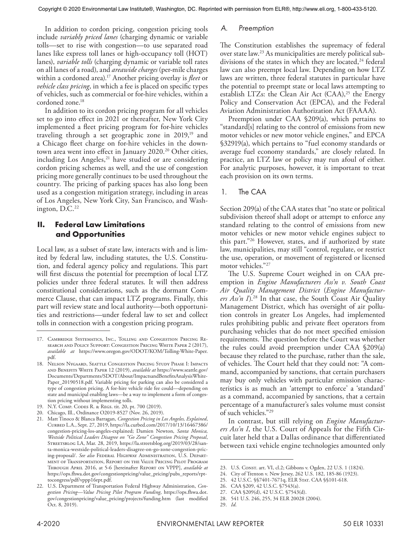In addition to cordon pricing, congestion pricing tools include *variably priced lanes* (charging dynamic or variable tolls—set to rise with congestion—to use separated road lanes like express toll lanes or high-occupancy toll (HOT) lanes), *variable tolls* (charging dynamic or variable toll rates on all lanes of a road), and *areawide charges* (per-mile charges within a cordoned area).17 Another pricing overlay is *fleet* or *vehicle class pricing*, in which a fee is placed on specific types of vehicles, such as commercial or for-hire vehicles, within a cordoned zone.18

In addition to its cordon pricing program for all vehicles set to go into effect in 2021 or thereafter, New York City implemented a fleet pricing program for for-hire vehicles traveling through a set geographic zone in 2019,<sup>19</sup> and a Chicago fleet charge on for-hire vehicles in the downtown area went into effect in January 2020.<sup>20</sup> Other cities, including Los Angeles,<sup>21</sup> have studied or are considering cordon pricing schemes as well, and the use of congestion pricing more generally continues to be used throughout the country. The pricing of parking spaces has also long been used as a congestion mitigation strategy, including in areas of Los Angeles, New York City, San Francisco, and Washington,  $D.C.<sup>22</sup>$ 

## **II. Federal Law Limitations and Opportunities**

Local law, as a subset of state law, interacts with and is limited by federal law, including statutes, the U.S. Constitution, and federal agency policy and regulations. This part will first discuss the potential for preemption of local LTZ policies under three federal statutes. It will then address constitutional considerations, such as the dormant Commerce Clause, that can impact LTZ programs. Finally, this part will review state and local authority—both opportunities and restrictions—under federal law to set and collect tolls in connection with a congestion pricing program.

#### *A. Preemption*

The Constitution establishes the supremacy of federal over state law.23 As municipalities are merely political subdivisions of the states in which they are located,<sup>24</sup> federal law can also preempt local law. Depending on how LTZ laws are written, three federal statutes in particular have the potential to preempt state or local laws attempting to establish LTZs: the Clean Air Act  $(CAA)^{25}$  the Energy Policy and Conservation Act (EPCA), and the Federal Aviation Administration Authorization Act (FAAAA).

Preemption under CAA §209(a), which pertains to "standard[s] relating to the control of emissions from new motor vehicles or new motor vehicle engines," and EPCA §32919(a), which pertains to "fuel economy standards or average fuel economy standards," are closely related. In practice, an LTZ law or policy may run afoul of either. For analytic purposes, however, it is important to treat each provision on its own terms.

## 1. The CAA

Section 209(a) of the CAA states that "no state or political subdivision thereof shall adopt or attempt to enforce any standard relating to the control of emissions from new motor vehicles or new motor vehicle engines subject to this part."26 However, states, and if authorized by state law, municipalities, may still "control, regulate, or restrict the use, operation, or movement of registered or licensed motor vehicles."27

The U.S. Supreme Court weighed in on CAA preemption in *Engine Manufacturers Ass'n v. South Coast Air Quality Management District* (*Engine Manufacturers Ass'n I*).28 In that case, the South Coast Air Quality Management District, which has oversight of air pollution controls in greater Los Angeles, had implemented rules prohibiting public and private fleet operators from purchasing vehicles that do not meet specified emission requirements. The question before the Court was whether the rules could avoid preemption under CAA §209(a) because they related to the purchase, rather than the sale, of vehicles. The Court held that they could not: "A command, accompanied by sanctions, that certain purchasers may buy only vehicles with particular emission characteristics is as much an 'attempt to enforce' a 'standard' as a command, accompanied by sanctions, that a certain percentage of a manufacturer's sales volume must consist of such vehicles."29

In contrast, but still relying on *Engine Manufacturers Ass'n I*, the U.S. Court of Appeals for the Fifth Circuit later held that a Dallas ordinance that differentiated between taxi vehicle engine technologies amounted only

<sup>17.</sup> Cambridge Systematics, Inc., Tolling and Congestion Pricing Research and Policy Support: Congestion Pricing White Paper 2 (2017), *available at* https://www.oregon.gov/ODOT/KOM/Tolling-White-Paper. pdf.

<sup>18.</sup> Nelson Nygaard, Seattle Congestion Pricing Study Phase I: Impacts and Benefits White Paper 12 (2019), *available at* https://www.seattle.gov/ Documents/Departments/SDOT/About/ImpactsandBenefitsAnalysisWhite-Paper\_20190518.pdf. Variable pricing for parking can also be considered a type of congestion pricing. A for-hire vehicle ride fee could—depending on state and municipal enabling laws—be a way to implement a form of congestion pricing without implementing tolls.

<sup>19.</sup> N.Y. Comp. Codes R. & Regs. tit. 20, pt. 700 (2019).

<sup>20.</sup> Chicago, Ill., Ordinance O2019-8527 (Nov. 26, 2019).

<sup>21.</sup> Matt Tinoco & Blanca Barragan, *Congestion Pricing in Los Angeles, Explained*, Curbed L.A., Sept. 27, 2019, https://la.curbed.com/2017/10/13/16467386/ congestion-pricing-los-angeles-explained; Damien Newton, *Santa Monica, Westside Political Leaders Disagree on "Go Zone" Congestion Pricing Proposal*, Streetsblog LA, Mar. 28, 2019, https://la.streetsblog.org/2019/03/28/santa-monica-westside-political-leaders-disagree-on-go-zone-congestion-pricing-proposal/. *See also* Federal Highway Administration, U.S. Department of Transportation, Report on the Value Pricing Pilot Program Through April 2016, at 5-6 [hereinafter Report on VPPP], *available at* https://ops.fhwa.dot.gov/congestionpricing/value\_pricing/pubs\_reports/rpttocongress/pdf/vppp16rpt.pdf.

<sup>22.</sup> U.S. Department of Transportation Federal Highway Administration, *Congestion Pricing—Value Pricing Pilot Program Funding*, https://ops.fhwa.dot. gov/congestionpricing/value\_pricing/projects/funding.htm (last modified Oct. 8, 2019).

<sup>23.</sup> U.S. Const. art. VI, cl.2; Gibbons v. Ogden, 22 U.S. 1 (1824).

<sup>24.</sup> City of Trenton v. New Jersey, 262 U.S. 182, 185-86 (1923).

<sup>25.</sup> 42 U.S.C. §§7401-7671q, ELR Stat. CAA §§101-618.

<sup>26.</sup> CAA §209, 42 U.S.C. §7543(a).

<sup>27.</sup> CAA §209(d), 42 U.S.C. §7543(d).

<sup>28.</sup> 541 U.S. 246, 255, 34 ELR 20028 (2004).

<sup>29.</sup> *Id*.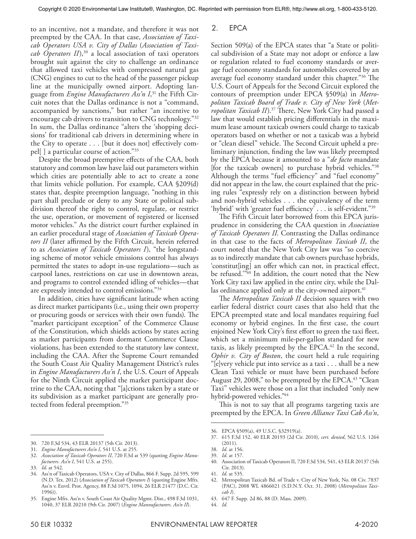to an incentive, not a mandate, and therefore it was not preempted by the CAA. In that case, *Association of Taxicab Operators USA v. City of Dallas* (*Association of Taxi*cab Operators II),<sup>30</sup> a local association of taxi operators brought suit against the city to challenge an ordinance that allowed taxi vehicles with compressed natural gas (CNG) engines to cut to the head of the passenger pickup line at the municipally owned airport. Adopting language from *Engine Manufacturers Ass'n I*, 31 the Fifth Circuit notes that the Dallas ordinance is not a "command, accompanied by sanctions," but rather "an incentive to encourage cab drivers to transition to CNG technology."32 In sum, the Dallas ordinance "alters the 'shopping decisions' for traditional cab drivers in determining where in the City to operate . . . [but it does not] effectively compel[ ] a particular course of action."33

Despite the broad preemptive effects of the CAA, both statutory and common law have laid out parameters within which cities are potentially able to act to create a zone that limits vehicle pollution. For example, CAA §209(d) states that, despite preemption language, "nothing in this part shall preclude or deny to any State or political subdivision thereof the right to control, regulate, or restrict the use, operation, or movement of registered or licensed motor vehicles." As the district court further explained in an earlier procedural stage of *Association of Taxicab Operators II* (later affirmed by the Fifth Circuit, herein referred to as *Association of Taxicab Operators I*), "the longstanding scheme of motor vehicle emissions control has always permitted the states to adopt in-use regulations—such as carpool lanes, restrictions on car use in downtown areas, and programs to control extended idling of vehicles—that are expressly intended to control emissions."34

In addition, cities have significant latitude when acting as direct market participants (i.e., using their own property or procuring goods or services with their own funds). The "market participant exception" of the Commerce Clause of the Constitution, which shields actions by states acting as market participants from dormant Commerce Clause violations, has been extended to the statutory law context, including the CAA. After the Supreme Court remanded the South Coast Air Quality Management District's rules in *Engine Manufacturers Ass'n I*, the U.S. Court of Appeals for the Ninth Circuit applied the market participant doctrine to the CAA, noting that "[a]ctions taken by a state or its subdivision as a market participant are generally protected from federal preemption."35

## 2. EPCA

Section 509(a) of the EPCA states that "a State or political subdivision of a State may not adopt or enforce a law or regulation related to fuel economy standards or average fuel economy standards for automobiles covered by an average fuel economy standard under this chapter."36 The U.S. Court of Appeals for the Second Circuit explored the contours of preemption under EPCA §509(a) in *Metropolitan Taxicab Board of Trade v. City of New York* (*Metropolitan Taxicab II*).37 There, New York City had passed a law that would establish pricing differentials in the maximum lease amount taxicab owners could charge to taxicab operators based on whether or not a taxicab was a hybrid or "clean diesel" vehicle. The Second Circuit upheld a preliminary injunction, finding the law was likely preempted by the EPCA because it amounted to a "*de facto* mandate [for the taxicab owners] to purchase hybrid vehicles."38 Although the terms "fuel efficiency" and "fuel economy" did not appear in the law, the court explained that the pricing rules "expressly rely on a distinction between hybrid and non-hybrid vehicles . . . the equivalency of the term 'hybrid' with 'greater fuel efficiency' . . . is self-evident."39

The Fifth Circuit later borrowed from this EPCA jurisprudence in considering the CAA question in *Association of Taxicab Operators II*. Contrasting the Dallas ordinance in that case to the facts of *Metropolitan Taxicab II*, the court noted that the New York City law was "so coercive as to indirectly mandate that cab owners purchase hybrids, 'constitut[ing] an offer which can not, in practical effect, be refused."<sup>340</sup> In addition, the court noted that the New York City taxi law applied in the entire city, while the Dallas ordinance applied only at the city-owned airport. $41$ 

The *Metropolitan Taxicab II* decision squares with two earlier federal district court cases that also held that the EPCA preempted state and local mandates requiring fuel economy or hybrid engines. In the first case, the court enjoined New York City's first effort to green the taxi fleet, which set a minimum mile-per-gallon standard for new taxis, as likely preempted by the EPCA.<sup>42</sup> In the second, *Ophir v. City of Boston*, the court held a rule requiring "[e]very vehicle put into service as a taxi . . . shall be a new Clean Taxi vehicle or must have been purchased before August 29, 2008," to be preempted by the EPCA. $43$  "Clean Taxi" vehicles were those on a list that included "only new hybrid-powered vehicles."44

This is not to say that all programs targeting taxis are preempted by the EPCA. In *Green Alliance Taxi Cab Ass'n,* 

- 43. 647 F. Supp. 2d 86, 88 (D. Mass. 2009).
- 44. *Id*.

<sup>30.</sup> 720 F.3d 534, 43 ELR 20137 (5th Cir. 2013).

<sup>31.</sup> *Engine Manufacturers Ass'n I*, 541 U.S. at 255.

<sup>32.</sup> *Association of Taxicab Operators II*, 720 F.3d at 539 (quoting *Engine Manufacturers. Ass'n I*, 541 U.S. at 255).

<sup>33.</sup> *Id*. at 542.

<sup>34.</sup> Ass'n of Taxicab Operators, USA v. City of Dallas, 866 F. Supp. 2d 595, 599 (N.D. Tex. 2012) (*Association of Taxicab Operators I*) (quoting Engine Mfrs. Ass'n v. Envtl. Prot. Agency, 88 F.3d 1075, 1094, 26 ELR 21477 (D.C. Cir. 1996)).

<sup>35.</sup> Engine Mfrs. Ass'n v. South Coast Air Quality Mgmt. Dist., 498 F.3d 1031, 1040, 37 ELR 20210 (9th Cir. 2007) (*Engine Mannufacturers. Ass'n II*).

<sup>36.</sup> EPCA §509(a), 49 U.S.C. §32919(a).

<sup>37.</sup> 615 F.3d 152, 40 ELR 20193 (2d Cir. 2010), *cert. denied*, 562 U.S. 1264 (2011).

<sup>38.</sup> *Id*. at 156.

<sup>39.</sup> *Id*. at 157.

<sup>40.</sup> Association of Taxicab Operators II, 720 F.3d 534, 541, 43 ELR 20137 (5th Cir. 2013).

<sup>41.</sup> *Id*. at 535.

<sup>42.</sup> Metropolitan Taxicab Bd. of Trade v. City of New York, No. 08 Civ. 7837 (PAC), 2008 WL 4866021 (S.D.N.Y. Oct. 31, 2008) (*Metropolitan Taxicab I*).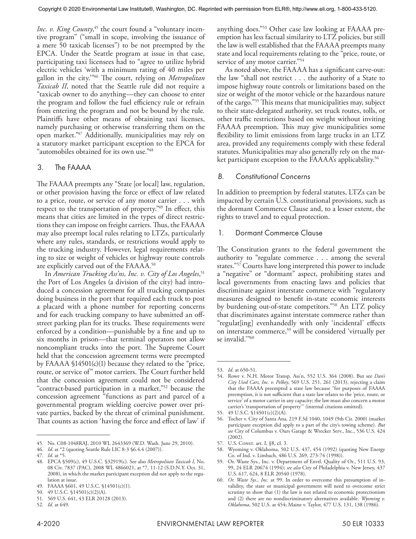Inc. v. King County,<sup>45</sup> the court found a "voluntary incentive program" ("small in scope, involving the issuance of a mere 50 taxicab licenses") to be not preempted by the EPCA. Under the Seattle program at issue in that case, participating taxi licensees had to "agree to utilize hybrid electric vehicles 'with a minimum rating of 40 miles per gallon in the city.'"46 The court, relying on *Metropolitan Taxicab II*, noted that the Seattle rule did not require a "taxicab owner to do anything—they can choose to enter the program and follow the fuel efficiency rule or refrain from entering the program and not be bound by the rule. Plaintiffs have other means of obtaining taxi licenses, namely purchasing or otherwise transferring them on the open market."47 Additionally, municipalities may rely on a statutory market participant exception to the EPCA for "automobiles obtained for its own use."48

## 3. The FAAAA

The FAAAA preempts any "State [or local] law, regulation, or other provision having the force or effect of law related to a price, route, or service of any motor carrier . . . with respect to the transportation of property."49 In effect, this means that cities are limited in the types of direct restrictions they can impose on freight carriers. Thus, the FAAAA may also preempt local rules relating to LTZs, particularly where any rules, standards, or restrictions would apply to the trucking industry. However, legal requirements relating to size or weight of vehicles or highway route controls are explicitly carved out of the FAAAA.<sup>50</sup>

In *American Trucking Ass'ns, Inc. v. City of Los Angeles*, 51 the Port of Los Angeles (a division of the city) had introduced a concession agreement for all trucking companies doing business in the port that required each truck to post a placard with a phone number for reporting concerns and for each trucking company to have submitted an offstreet parking plan for its trucks. These requirements were enforced by a condition—punishable by a fine and up to six months in prison—that terminal operators not allow noncompliant trucks into the port. The Supreme Court held that the concession agreement terms were preempted by FAAAA §14501(c)(1) because they related to the "price, route, or service of" motor carriers. The Court further held that the concession agreement could not be considered "contract-based participation in a market,"<sup>52</sup> because the concession agreement "functions as part and parcel of a governmental program wielding coercive power over private parties, backed by the threat of criminal punishment. That counts as action 'having the force and effect of law' if

anything does."53 Other case law looking at FAAAA preemption has less factual similarity to LTZ policies, but still the law is well established that the FAAAA preempts many state and local requirements relating to the "price, route, or service of any motor carrier."<sup>54</sup>

As noted above, the FAAAA has a significant carve-out: the law "shall not restrict . . . the authority of a State to impose highway route controls or limitations based on the size or weight of the motor vehicle or the hazardous nature of the cargo."55 This means that municipalities may, subject to their state-delegated authority, set truck routes, tolls, or other traffic restrictions based on weight without inviting FAAAA preemption. This may give municipalities some flexibility to limit emissions from large trucks in an LTZ area, provided any requirements comply with these federal statutes. Municipalities may also generally rely on the market participant exception to the FAAAA's applicability.<sup>56</sup>

## *B. Constitutional Concerns*

In addition to preemption by federal statutes, LTZs can be impacted by certain U.S. constitutional provisions, such as the dormant Commerce Clause and, to a lesser extent, the rights to travel and to equal protection.

#### 1. Dormant Commerce Clause

The Constitution grants to the federal government the authority to "regulate commerce . . . among the several states."<sup>57</sup> Courts have long interpreted this power to include a "negative" or "dormant" aspect, prohibiting states and local governments from enacting laws and policies that discriminate against interstate commerce with "regulatory measures designed to benefit in-state economic interests by burdening out-of-state competitors."58 An LTZ policy that discriminates against interstate commerce rather than "regulat[ing] evenhandedly with only 'incidental' effects on interstate commerce,59 will be considered 'virtually per se invalid.'"60

<sup>45.</sup> No. C08-1048RAJ, 2010 WL 2643369 (W.D. Wash. June 29, 2010).

<sup>46.</sup> *Id*. at \*2 (quoting Seattle Rule LIC 8-3 §6.4.4 (2007)).

<sup>47.</sup> *Id*. at \*5.

<sup>48.</sup> EPCA §509(c), 49 U.S.C. §32919(c). See also *Metropolitan Taxicab I*, No. 08 Civ. 7837 (PAC), 2008 WL 4866021, at \*7, 11-12 (S.D.N.Y. Oct. 31, 2008), in which the market participant exception did not apply to the regulation at issue.

<sup>49.</sup> FAAAA §601, 49 U.S.C. §14501(c)(1).

<sup>50.</sup> 49 U.S.C. §14501(c)(2)(A).

<sup>51.</sup> 569 U.S. 641, 43 ELR 20128 (2013).

<sup>52.</sup> *Id*. at 649.

<sup>53.</sup> *Id*. at 650-51.

<sup>54.</sup> Rowe v. N.H. Motor Transp. Ass'n, 552 U.S. 364 (2008). But see *Dan's City Used Cars, Inc. v. Pelkey*, 569 U.S. 251, 261 (2013), rejecting a claim that the FAAAA preempted a state law because "for purposes of FAAAA preemption, it is not sufficient that a state law relates to the 'price, route, or service' of a motor carrier in any capacity; the law must also concern a motor carrier's 'transportation of property'" (internal citations omitted).

<sup>55.</sup> 49 U.S.C. §14501(c)(2)(A).

<sup>56.</sup> Tocher v. City of Santa Ana, 219 F.3d 1040, 1049 (9th Cir. 2000) (market participant exception did apply to a part of the city's towing scheme). *But see* City of Columbus v. Ours Garage & Wrecker Serv., Inc., 536 U.S. 424  $(2002)$ .

<sup>57.</sup> U.S. Const. art. I, §8, cl. 3.

<sup>58.</sup> Wyoming v. Oklahoma, 502 U.S. 437, 454 (1992) (quoting New Energy Co. of Ind. v. Limbach, 486 U.S. 269, 273-74 (1998)).

<sup>59.</sup> Or. Waste Sys., Inc. v. Department of Envtl. Quality of Or., 511 U.S. 93, 99, 24 ELR 20674 (1994); *see also* City of Philadelphia v. New Jersey, 437 U.S. 617, 624, 8 ELR 20540 (1978).

<sup>60.</sup> *Or. Waste Sys., Inc.* at 99. In order to overcome this presumption of invalidity, the state or municipal government will need to overcome strict scrutiny to show that (1) the law is not related to economic protectionism and (2) there are no nondiscriminatory alternatives available. *Wyoming v. Oklahoma*, 502 U.S. at 454; Maine v. Taylor, 477 U.S. 131, 138 (1986).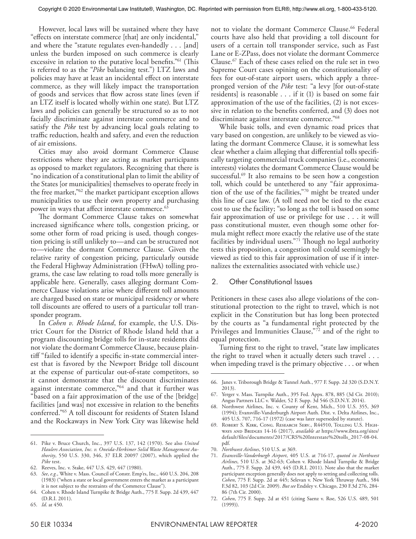However, local laws will be sustained where they have "effects on interstate commerce [that] are only incidental," and where the "statute regulates even-handedly . . . [and] unless the burden imposed on such commerce is clearly excessive in relation to the putative local benefits."<sup>61</sup> (This is referred to as the "*Pike* balancing test.") LTZ laws and policies may have at least an incidental effect on interstate commerce, as they will likely impact the transportation of goods and services that flow across state lines (even if an LTZ itself is located wholly within one state). But LTZ laws and policies can generally be structured so as to not facially discriminate against interstate commerce and to satisfy the *Pike* test by advancing local goals relating to traffic reduction, health and safety, and even the reduction of air emissions.

Cities may also avoid dormant Commerce Clause restrictions where they are acting as market participants as opposed to market regulators. Recognizing that there is "no indication of a constitutional plan to limit the ability of the States [or municipalities] themselves to operate freely in the free market,"62 the market participant exception allows municipalities to use their own property and purchasing power in ways that affect interstate commerce.<sup>63</sup>

The dormant Commerce Clause takes on somewhat increased significance where tolls, congestion pricing, or some other form of road pricing is used, though congestion pricing is still unlikely to—and can be structured not to—violate the dormant Commerce Clause. Given the relative rarity of congestion pricing, particularly outside the Federal Highway Administration (FHwA) tolling programs, the case law relating to road tolls more generally is applicable here. Generally, cases alleging dormant Commerce Clause violations arise where different toll amounts are charged based on state or municipal residency or where toll discounts are offered to users of a particular toll transponder program.

In *Cohen v. Rhode Island*, for example, the U.S. District Court for the District of Rhode Island held that a program discounting bridge tolls for in-state residents did not violate the dormant Commerce Clause, because plaintiff "failed to identify a specific in-state commercial interest that is favored by the Newport Bridge toll discount at the expense of particular out-of-state competitors, so it cannot demonstrate that the discount discriminates against interstate commerce,"<sup>64</sup> and that it further was "based on a fair approximation of the use of the [bridge] facilities [and was] not excessive in relation to the benefits conferred."65 A toll discount for residents of Staten Island and the Rockaways in New York City was likewise held not to violate the dormant Commerce Clause.<sup>66</sup> Federal courts have also held that providing a toll discount for users of a certain toll transponder service, such as Fast Lane or E-ZPass, does not violate the dormant Commerce Clause.67 Each of these cases relied on the rule set in two Supreme Court cases opining on the constitutionality of fees for out-of-state airport users, which apply a threepronged version of the *Pike* test: "a levy [for out-of-state residents] is reasonable . . . if it (1) is based on some fair approximation of the use of the facilities, (2) is not excessive in relation to the benefits conferred, and (3) does not discriminate against interstate commerce."<sup>68</sup>

While basic tolls, and even dynamic road prices that vary based on congestion, are unlikely to be viewed as violating the dormant Commerce Clause, it is somewhat less clear whether a claim alleging that differential tolls specifically targeting commercial truck companies (i.e., economic interests) violates the dormant Commerce Clause would be successful.<sup>69</sup> It also remains to be seen how a congestion toll, which could be untethered to any "fair approximation of the use of the facilities,"70 might be treated under this line of case law. (A toll need not be tied to the exact cost to use the facility; "so long as the toll is based on some fair approximation of use or privilege for use . . . it will pass constitutional muster, even though some other formula might reflect more exactly the relative use of the state facilities by individual users."<sup>71</sup> Though no legal authority tests this proposition, a congestion toll could seemingly be viewed as tied to this fair approximation of use if it internalizes the externalities associated with vehicle use.)

#### 2. Other Constitutional Issues

Petitioners in these cases also allege violations of the constitutional protection to the right to travel, which is not explicit in the Constitution but has long been protected by the courts as "a fundamental right protected by the Privileges and Immunities Clause,"72 and of the right to equal protection.

Turning first to the right to travel, "state law implicates the right to travel when it actually deters such travel . . . when impeding travel is the primary objective . . . or when

<sup>61.</sup> Pike v. Bruce Church, Inc., 397 U.S. 137, 142 (1970). See also *United Haulers Association, Inc. v. Oneida-Herkimer Solid Waste Management Authority*, 550 U.S. 330, 346, 37 ELR 20097 (2007), which applied the *Pike* test.

<sup>62.</sup> Reeves, Inc. v. Stake, 447 U.S. 429, 447 (1980).

<sup>63.</sup> *See*, *e.g.*, White v. Mass. Council of Constr. Emp'rs, Inc., 460 U.S. 204, 208 (1983) ("when a state or local government enters the market as a participant it is not subject to the restraints of the Commerce Clause").

<sup>64.</sup> Cohen v. Rhode Island Turnpike & Bridge Auth., 775 F. Supp. 2d 439, 447 (D.R.I. 2011).

<sup>65.</sup> *Id*. at 450.

<sup>66.</sup> Janes v. Triborough Bridge & Tunnel Auth., 977 F. Supp. 2d 320 (S.D.N.Y. 2013).

<sup>67.</sup> Yerger v. Mass. Turnpike Auth., 395 Fed. Appx. 878, 885 (3d Cir. 2010); Angus Partners LLC v. Walder, 52 F. Supp. 3d 546 (S.D.N.Y. 2014).

<sup>68.</sup> Northwest Airlines, Inc. v. County of Kent, Mich., 510 U.S. 355, 369 (1994); Evansville-Vanderburgh Airport Auth. Dist. v. Delta Airlines, Inc., 405 U.S. 707, 716-17 (1972) (case was later superseded by statute).

<sup>69.</sup> Robert S. Kirk, Cong. Research Serv., R44910, Tolling U.S. Highways and BRIDGES 14-16 (2017), *available at* https://www.ibtta.org/sites/ default/files/documents/2017/CRS%20Interstate%20tolls\_2017-08-04. pdf.

<sup>70.</sup> *Northwest Airlines*, 510 U.S. at 369.

<sup>71.</sup> *Evansville-Vanderburgh Airport*, 405 U.S. at 716-17, *quoted in Northwest Airlines*, 510 U.S. at 362-63; Cohen v. Rhode Island Turnpike & Bridge Auth., 775 F. Supp. 2d 439, 445 (D.R.I. 2011). Note also that the market participant exception generally does not apply to setting and collecting tolls. *Cohen*, 775 F. Supp. 2d at 445; Selevan v. New York Thruway Auth., 584 F.3d 82, 103 (2d Cir. 2009). *But see* Endsley v. Chicago, 230 F.3d 276, 284- 86 (7th Cir. 2000).

<sup>72.</sup> *Cohen*, 775 F. Supp. 2d at 451 (citing Saenz v. Roe, 526 U.S. 489, 501 (1999)).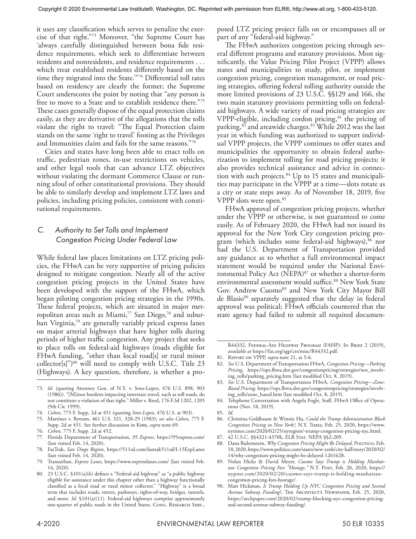it uses any classification which serves to penalize the exercise of that right."73 Moreover, "the Supreme Court has 'always carefully distinguished between bona fide residence requirements, which seek to differentiate between residents and nonresidents, and residence requirements . . . which treat established residents differently based on the time they migrated into the State.'"74 Differential toll rates based on residency are clearly the former; the Supreme Court underscores the point by noting that "any person is free to move to a State and to establish residence there."75 These cases generally dispose of the equal protection claims easily, as they are derivative of the allegations that the tolls violate the right to travel: "The Equal Protection claim stands on the same 'right to travel' footing as the Privileges and Immunities claim and fails for the same reasons."76

Cities and states have long been able to enact tolls on traffic, pedestrian zones, in-use restrictions on vehicles, and other legal tools that can advance LTZ objectives without violating the dormant Commerce Clause or running afoul of other constitutional provisions. They should be able to similarly develop and implement LTZ laws and policies, including pricing policies, consistent with constitutional requirements.

## *C. Authority to Set Tolls and Implement Congestion Pricing Under Federal Law*

While federal law places limitations on LTZ pricing policies, the FHwA can be very supportive of pricing policies designed to mitigate congestion. Nearly all of the active congestion pricing projects in the United States have been developed with the support of the FHwA, which began piloting congestion pricing strategies in the 1990s. These federal projects, which are situated in major metropolitan areas such as Miami,<sup>77</sup> San Diego,<sup>78</sup> and suburban Virginia,79 are generally variably priced express lanes on major arterial highways that have higher tolls during periods of higher traffic congestion. Any project that seeks to place tolls on federal-aid highways (roads eligible for FHwA funding, "other than local road[s] or rural minor  $\text{collector}[s]$ ")<sup>80</sup> will need to comply with U.S.C. Title 23 (Highways). A key question, therefore, is whether a pro-

76. *Cohen*, 775 F. Supp. 2d at 452.

- 78. FasTrak, *San Diego Region*, https://511sd.com/fastrak511sd/I-15ExpLanes (last visited Feb. 14, 2020).
- 79. Transurban, *Express Lanes*, https://www.expresslanes.com/ (last visited Feb. 14, 2020).
- 80. 23 U.S.C. §101(a)(6) defines a "Federal-aid highway" as "a public highway eligible for assistance under this chapter other than a highway functionally classified as a local road or rural minor collector." "Highway" is a broad term that includes roads, streets, parkways, rights-of-way, bridges, tunnels, and more. *Id*. §101(a)(11). Federal-aid highways comprise approximately one-quarter of public roads in the United States. Cong. RESEARCH SERV.,

posed LTZ pricing project falls on or encompasses all or part of any "federal-aid highway."

The FHwA authorizes congestion pricing through several different programs and statutory provisions. Most significantly, the Value Pricing Pilot Project (VPPP) allows states and municipalities to study, pilot, or implement congestion pricing, congestion management, or road pricing strategies, offering federal tolling authority outside the more limited provisions of 23 U.S.C. §§129 and 166, the two main statutory provisions permitting tolls on federalaid highways. A wide variety of road pricing strategies are VPPP-eligible, including cordon pricing,<sup>81</sup> the pricing of parking, $82$  and areawide charges. $83$  While 2012 was the last year in which funding was authorized to support individual VPPP projects, the VPPP continues to offer states and municipalities the opportunity to obtain federal authorization to implement tolling for road pricing projects; it also provides technical assistance and advice in connection with such projects.<sup>84</sup> Up to 15 states and municipalities may participate in the VPPP at a time—slots rotate as a city or state steps away. As of November 18, 2019, five VPPP slots were open.85

FHwA approval of congestion pricing projects, whether under the VPPP or otherwise, is not guaranteed to come easily. As of February 2020, the FHwA had not issued its approval for the New York City congestion pricing program (which includes some federal-aid highways), $86$  nor had the U.S. Department of Transportation provided any guidance as to whether a full environmental impact statement would be required under the National Environmental Policy Act (NEPA)<sup>87</sup> or whether a shorter-form environmental assessment would suffice.<sup>88</sup> New York State Gov. Andrew Cuomo<sup>89</sup> and New York City Mayor Bill de Blasio<sup>90</sup> separately suggested that the delay in federal approval was political; FHwA officials countered that the state agency had failed to submit all required documen-

- 86. Christina Goldbaum & Winnie Hu, *Could the Trump Administration Block Congestion Pricing in New York?*, N.Y. Times, Feb. 25, 2020, https://www. nytimes.com/2020/02/25/nyregion/-trump-congestion-pricing-nyc.html.
- 87. 42 U.S.C. §§4321-4370h, ELR STAT. NEPA §§2-209.
- 88. Dana Rubenstein, *Why Congestion Pricing Might Be Delayed*, POLITICO, Feb. 18, 2020, https://www.politico.com/states/new-york/city-hall/story/2020/02/ 14/why-congestion-pricing-might-be-delayed-1261628.
- 89. Nolan Hicks & David Meyer, *Cuomo Says Trump is Holding Manhattan Congestion Pricing Fees "Hostage,"* N.Y. Post, Feb. 20, 2020, https:// nypost.com/2020/02/20/cuomo-says-trump-is-holding-manhattancongestion-pricing-fees-hostage/.
- 90. Matt Hickman, *Is Trump Holding Up NYC Congestion Pricing and Second*  Avenue Subway Funding?, THE ARCHITECT's NEWSPAPER, Feb. 25, 2020, https://archpaper.com/2020/02/trump-blocking-nyc-congestion-pricingand-second-avenue-subway-funding/.

<sup>73.</sup> *Id*. (quoting Attorney Gen. of N.Y. v. Soto-Lopez, 476 U.S. 898, 903 (1986)). "[M]inor burdens impacting interstate travel, such as toll roads, do not constitute a violation of that right." Miller v. Reed, 176 F.3d 1202, 1205 (9th Cir. 1999).

<sup>74.</sup> *Cohen*, 775 F. Supp. 2d at 451 (quoting *Soto-Lopez*, 476 U.S. at 903).

<sup>75.</sup> Martinez v. Bynum, 461 U.S. 321, 328-29 (1983); *see also Cohen*, 775 F. Supp. 2d at 451. See further discussion in Kirk, *supra* note 69.

<sup>77.</sup> Florida Department of Transportation, *95 Express*, https://95express.com/ (last visited Feb. 14, 2020).

R44332, Federal-Aid Highway Program (FAHP): In Brief 2 (2019), *available at* https://fas.org/sgp/crs/misc/R44332.pdf.

<sup>81.</sup> Report on VPPP, *supra* note 21, at 5-6.

<sup>82.</sup> *See* U.S. Department of Transportation FHwA, *Congestion Pricing—Parking Pricing*, https://ops.fhwa.dot.gov/congestionpricing/strategies/not\_involving\_tolls/parking\_pricing.htm (last modified Oct. 8, 2019).

<sup>83.</sup> *See* U.S. Department of Transportation FHwA, *Congestion Pricing—Zone-Based Pricing*, https://ops.fhwa.dot.gov/congestionpricing/strategies/involving\_tolls/zone\_based.htm (last modified Oct. 8, 2019).

<sup>84.</sup> Telephone Conversation with Angela Fogle, Staff, FHwA Office of Operations (Nov. 18, 2019).

<sup>85.</sup> *Id*.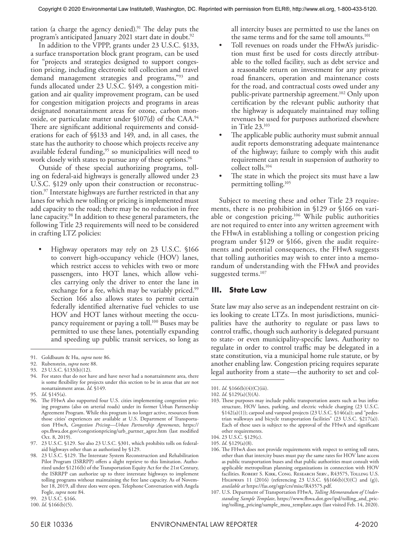tation (a charge the agency denied).<sup>91</sup> The delay puts the program's anticipated January 2021 start date in doubt.<sup>92</sup>

In addition to the VPPP, grants under 23 U.S.C. §133, a surface transportation block grant program, can be used for "projects and strategies designed to support congestion pricing, including electronic toll collection and travel demand management strategies and programs,"93 and funds allocated under 23 U.S.C. §149, a congestion mitigation and air quality improvement program, can be used for congestion mitigation projects and programs in areas designated nonattainment areas for ozone, carbon monoxide, or particulate matter under §107(d) of the CAA.94 There are significant additional requirements and considerations for each of §§133 and 149, and, in all cases, the state has the authority to choose which projects receive any available federal funding,<sup>95</sup> so municipalities will need to work closely with states to pursue any of these options.<sup>96</sup>

Outside of these special authorizing programs, tolling on federal-aid highways is generally allowed under 23 U.S.C. §129 only upon their construction or reconstruction.97 Interstate highways are further restricted in that any lanes for which new tolling or pricing is implemented must add capacity to the road; there may be no reduction in free lane capacity.98 In addition to these general parameters, the following Title 23 requirements will need to be considered in crafting LTZ policies:

• Highway operators may rely on 23 U.S.C. §166 to convert high-occupancy vehicle (HOV) lanes, which restrict access to vehicles with two or more passengers, into HOT lanes, which allow vehicles carrying only the driver to enter the lane in exchange for a fee, which may be variably priced.<sup>99</sup> Section 166 also allows states to permit certain federally identified alternative fuel vehicles to use HOV and HOT lanes without meeting the occupancy requirement or paying a toll.100 Buses may be permitted to use these lanes, potentially expanding and speeding up public transit services, so long as

93. 23 U.S.C. §133(b)(12).

95. *Id*. §145(a).

50 ELR 10336 ENVIRONMENTAL LAW REPORTER 4-2020

all intercity buses are permitted to use the lanes on the same terms and for the same toll amounts.<sup>101</sup>

- Toll revenues on roads under the FHwA's jurisdiction must first be used for costs directly attributable to the tolled facility, such as debt service and a reasonable return on investment for any private road financers, operation and maintenance costs for the road, and contractual costs owed under any public-private partnership agreement.<sup>102</sup> Only upon certification by the relevant public authority that the highway is adequately maintained may tolling revenues be used for purposes authorized elsewhere in Title 23.103
- The applicable public authority must submit annual audit reports demonstrating adequate maintenance of the highway; failure to comply with this audit requirement can result in suspension of authority to collect tolls.104
- The state in which the project sits must have a law permitting tolling.105

Subject to meeting these and other Title 23 requirements, there is no prohibition in §129 or §166 on variable or congestion pricing.<sup>106</sup> While public authorities are not required to enter into any written agreement with the FHwA in establishing a tolling or congestion pricing program under §129 or §166, given the audit requirements and potential consequences, the FHwA suggests that tolling authorities may wish to enter into a memorandum of understanding with the FHwA and provides suggested terms.<sup>107</sup>

#### **III. State Law**

State law may also serve as an independent restraint on cities looking to create LTZs. In most jurisdictions, municipalities have the authority to regulate or pass laws to control traffic, though such authority is delegated pursuant to state- or even municipality-specific laws. Authority to regulate in order to control traffic may be delegated in a state constitution, via a municipal home rule statute, or by another enabling law. Congestion pricing requires separate legal authority from a state—the authority to set and col-

<sup>91.</sup> Goldbaum & Hu, *supra* note 86.

<sup>92.</sup> Rubenstein, *supra* note 88.

<sup>94.</sup> For states that do not have and have never had a nonattainment area, there is some flexibility for projects under this section to be in areas that are not nonattainment areas. *Id*. §149.

<sup>96.</sup> The FHwA also supported four U.S. cities implementing congestion pricing programs (also on arterial roads) under its former Urban Partnership Agreement Program. While this program is no longer active, resources from those cities' experiences are available at U.S. Department of Transportation FHwA, *Congestion Pricing—Urban Partnership Agreements*, https:// ops.fhwa.dot.gov/congestionpricing/urb\_partner\_agree.htm (last modified Oct. 8, 2019).

<sup>97.</sup> 23 U.S.C. §129. See also 23 U.S.C. §301, which prohibits tolls on federalaid highways other than as authorized by §129.

<sup>98.</sup> 23 U.S.C. §129. The Interstate System Reconstruction and Rehabilitation Pilot Program (ISRRPP) offers a slight reprieve to this limitation. Authorized under §1216(b) of the Transportation Equity Act for the 21st Century, the ISRRPP can authorize up to three interstate highways to implement tolling programs without maintaining the free lane capacity. As of November 18, 2019, all three slots were open. Telephone Conversation with Angela Fogle, *supra* note 84.

<sup>99.</sup> 23 U.S.C. §166.

<sup>100.</sup> *Id*. §166(b)(5).

<sup>101.</sup> *Id*. §166(b)(4)(C)(iii).

<sup>102.</sup> *Id*. §129(a)(3)(A).

<sup>103.</sup> These purposes may include public transportation assets such as bus infrastructure, HOV lanes, parking, and electric vehicle charging (23 U.S.C. §142(a)(1)); carpool and vanpool projects (23 U.S.C. §146(a)); and "pedestrian walkways and bicycle transportation facilities" (23 U.S.C. §217(a)). Each of these uses is subject to the approval of the FHwA and significant other requirements.

<sup>104.</sup> 23 U.S.C. §129(c).

<sup>105.</sup> *Id*. §129(a)(8).

<sup>106.</sup> The FHwA does not provide requirements with respect to setting toll rates, other than that intercity buses must pay the same rates for HOV lane access as public transportation buses and that public authorities must consult with applicable metropolitan planning organizations in connection with HOV facilities. ROBERT S. KIRK, CONG. RESEARCH SERV., R43575, TOLLING U.S. Highways 11 (2016) (referencing 23 U.S.C. §§166(b)(3)(C) and (g)), *available at* https://fas.org/sgp/crs/misc/R43575.pdf.

<sup>107.</sup> U.S. Department of Transportation FHwA, *Tolling Memorandum of Understanding Sample Template*, https://www.fhwa.dot.gov/ipd/tolling\_and\_pricing/tolling\_pricing/sample\_mou\_template.aspx (last visited Feb. 14, 2020).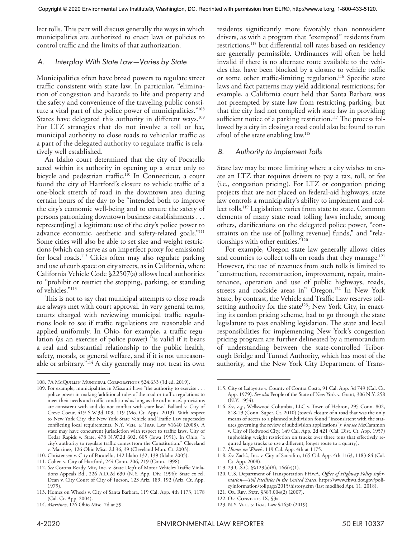lect tolls. This part will discuss generally the ways in which municipalities are authorized to enact laws or policies to control traffic and the limits of that authorization.

#### *A. Interplay With State Law—Varies by State*

Municipalities often have broad powers to regulate street traffic consistent with state law. In particular, "elimination of congestion and hazards to life and property and the safety and convenience of the traveling public constitute a vital part of the police power of municipalities."108 States have delegated this authority in different ways.<sup>109</sup> For LTZ strategies that do not involve a toll or fee, municipal authority to close roads to vehicular traffic as a part of the delegated authority to regulate traffic is relatively well established.

An Idaho court determined that the city of Pocatello acted within its authority in opening up a street only to bicycle and pedestrian traffic.<sup>110</sup> In Connecticut, a court found the city of Hartford's closure to vehicle traffic of a one-block stretch of road in the downtown area during certain hours of the day to be "intended both to improve the city's economic well-being and to ensure the safety of persons patronizing downtown business establishments . . . represent[ing] a legitimate use of the city's police power to advance economic, aesthetic and safety-related goals."111 Some cities will also be able to set size and weight restrictions (which can serve as an imperfect proxy for emissions) for local roads.112 Cities often may also regulate parking and use of curb space on city streets, as in California, where California Vehicle Code §22507(a) allows local authorities to "prohibit or restrict the stopping, parking, or standing of vehicles."113

This is not to say that municipal attempts to close roads are always met with court approval. In very general terms, courts charged with reviewing municipal traffic regulations look to see if traffic regulations are reasonable and applied uniformly. In Ohio, for example, a traffic regulation (as an exercise of police power) "is valid if it bears a real and substantial relationship to the public health, safety, morals, or general welfare, and if it is not unreasonable or arbitrary."<sup>114</sup> A city generally may not treat its own

residents significantly more favorably than nonresident drivers, as with a program that "exempted" residents from restrictions,<sup>115</sup> but differential toll rates based on residency are generally permissible. Ordinances will often be held invalid if there is no alternate route available to the vehicles that have been blocked by a closure to vehicle traffic or some other traffic-limiting regulation.<sup>116</sup> Specific state laws and fact patterns may yield additional restrictions; for example, a California court held that Santa Barbara was not preempted by state law from restricting parking, but that the city had not complied with state law in providing sufficient notice of a parking restriction.<sup>117</sup> The process followed by a city in closing a road could also be found to run afoul of the state enabling law.118

#### *B. Authority to Implement Tolls*

State law may be more limiting where a city wishes to create an LTZ that requires drivers to pay a tax, toll, or fee (i.e., congestion pricing). For LTZ or congestion pricing projects that are not placed on federal-aid highways, state law controls a municipality's ability to implement and collect tolls.<sup>119</sup> Legislation varies from state to state. Common elements of many state road tolling laws include, among others, clarifications on the delegated police power, "constraints on the use of [tolling revenue] funds," and "relationships with other entities."120

For example, Oregon state law generally allows cities and counties to collect tolls on roads that they manage.<sup>121</sup> However, the use of revenues from such tolls is limited to "construction, reconstruction, improvement, repair, maintenance, operation and use of public highways, roads, streets and roadside areas in" Oregon.<sup>122</sup> In New York State, by contrast, the Vehicle and Traffic Law reserves tollsetting authority for the state<sup>123</sup>; New York City, in enacting its cordon pricing scheme, had to go through the state legislature to pass enabling legislation. The state and local responsibilities for implementing New York's congestion pricing program are further delineated by a memorandum of understanding between the state-controlled Triborough Bridge and Tunnel Authority, which has most of the authority, and the New York City Department of Trans-

117. *Homes on Wheels*, 119 Cal. App. 4th at 1175.

- 119. 23 U.S.C. §§129(a)(8), 166(c)(1).
- 120. U.S. Department of Transportation FHwA, *Office of Highway Policy Information—Toll Facilities in the United States*, https://www.fhwa.dot.gov/policyinformation/tollpage/2015/history.cfm (last modified Apr. 11, 2018).
- 121. Or. Rev. Stat. §383.004(2) (2007).

123. N.Y. Veh. & Traf. Law §1630 (2019).

<sup>108.</sup> 7A McQuillin Municipal Corporations §24:633 (3d ed. 2019).

<sup>109.</sup> For example, municipalities in Missouri have "the authority to exercise . . . police power in making 'additional rules of the road or traffic regulations to meet their needs and traffic conditions' as long as the ordinance's provisions are consistent with and do not conflict with state law." Ballard v. City of Creve Coeur, 419 S.W.3d 109, 119 (Mo. Ct. Apps. 2013). With respect to New York City, the New York State Vehicle and Traffic Law supersedes conflicting local requirements. N.Y. VEH. & TRAF. LAW §1640 (2008). A state may have concurrent jurisdiction with respect to traffic laws. City of Cedar Rapids v. State, 478 N.W.2d 602, 605 (Iowa 1991). In Ohio, "a city's authority to regulate traffic comes from the Constitution." Cleveland v. Martinez, 126 Ohio Misc. 2d 36, 39 (Cleveland Mun. Ct. 2003).

<sup>110.</sup> Christensen v. City of Pocatello, 142 Idaho 132, 139 (Idaho 2005).

<sup>111.</sup> Cohen v. City of Hartford, 244 Conn. 206, 219 (Conn. 1998).

<sup>112.</sup> *See* Corona Ready Mix, Inc. v. State Dep't of Motor Vehicles Traffic Violations Appeals Bd., 226 A.D.2d 630 (N.Y. App. Div. 1996); State ex rel. Dean v. City Court of City of Tucson, 123 Ariz. 189, 192 (Ariz. Ct. App. 1979).

<sup>113.</sup> Homes on Wheels v. City of Santa Barbara, 119 Cal. App. 4th 1173, 1178 (Cal. Ct. App. 2004).

<sup>114.</sup> *Martinez*, 126 Ohio Misc. 2d at 39.

<sup>115.</sup> City of Lafayette v. County of Contra Costa, 91 Cal. App. 3d 749 (Cal. Ct. App. 1979). *See also* People of the State of New York v. Grant, 306 N.Y. 258 (N.Y. 1954).

<sup>116.</sup> *See*, *e.g.*, Wellswood Columbia, LLC v. Town of Hebron, 295 Conn. 802, 818-19 (Conn. Super. Ct. 2010) (town's closure of a road that was the only means of access to a planned subdivision found "inconsistent with the statutes governing the review of subdivision applications"); *but see* McCammon v. City of Redwood City, 149 Cal. App. 2d 421 (Cal. Dist. Ct. App. 1957) (upholding weight restriction on trucks over three tons that effectively required large trucks to use a different, longer route to a quarry).

<sup>118.</sup> *See* Zack's, Inc. v. City of Sausalito, 165 Cal. App. 4th 1163, 1183-84 (Cal. Ct. App. 2008).

<sup>122.</sup> Or. Const. art. IX, §3a.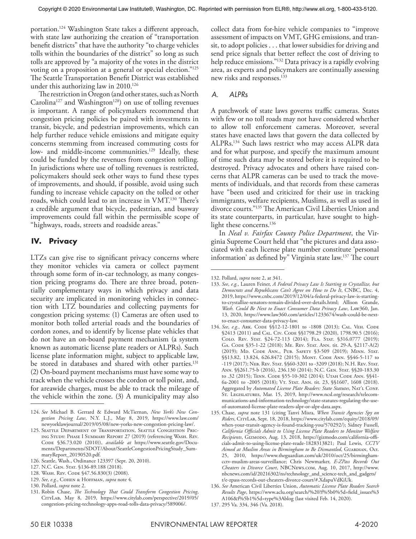portation.124 Washington State takes a different approach, with state law authorizing the creation of "transportation benefit districts" that have the authority "to charge vehicles tolls within the boundaries of the district" so long as such tolls are approved by "a majority of the votes in the district voting on a proposition at a general or special election."125 The Seattle Transportation Benefit District was established under this authorizing law in 2010.<sup>126</sup>

The restriction in Oregon (and other states, such as North Carolina<sup>127</sup> and Washington<sup>128</sup>) on use of tolling revenues is important. A range of policymakers recommend that congestion pricing policies be paired with investments in transit, bicycle, and pedestrian improvements, which can help further reduce vehicle emissions and mitigate equity concerns stemming from increased commuting costs for low- and middle-income communities.<sup>129</sup> Ideally, these could be funded by the revenues from congestion tolling. In jurisdictions where use of tolling revenues is restricted, policymakers should seek other ways to fund these types of improvements, and should, if possible, avoid using such funding to increase vehicle capacity on the tolled or other roads, which could lead to an increase in VMT.130 There's a credible argument that bicycle, pedestrian, and busway improvements could fall within the permissible scope of "highways, roads, streets and roadside areas."

## **IV. Privacy**

LTZs can give rise to significant privacy concerns where they monitor vehicles via camera or collect payment through some form of in-car technology, as many congestion pricing programs do. There are three broad, potentially complementary ways in which privacy and data security are implicated in monitoring vehicles in connection with LTZ boundaries and collecting payments for congestion pricing systems: (1) Cameras are often used to monitor both tolled arterial roads and the boundaries of cordon zones, and to identify by license plate vehicles that do not have an on-board payment mechanism (a system known as automatic license plate readers or ALPRs). Such license plate information might, subject to applicable law, be stored in databases and shared with other parties.<sup>131</sup> (2) On-board payment mechanisms must have some way to track when the vehicle crosses the cordon or toll point, and, for areawide charges, must be able to track the mileage of the vehicle within the zone. (3) A municipality may also

129. *See*, *e.g.*, Cohen & Hoffman, *supra* note 4.

collect data from for-hire vehicle companies to "improve assessment of impacts on VMT, GHG emissions, and transit, to adopt policies . . . that lower subsidies for driving and send price signals that better reflect the cost of driving to help reduce emissions."<sup>132</sup> Data privacy is a rapidly evolving area, as experts and policymakers are continually assessing new risks and responses.<sup>133</sup>

#### *A. ALPRs*

A patchwork of state laws governs traffic cameras. States with few or no toll roads may not have considered whether to allow toll enforcement cameras. Moreover, several states have enacted laws that govern the data collected by ALPRs.134 Such laws restrict who may access ALPR data and for what purpose, and specify the maximum amount of time such data may be stored before it is required to be destroyed. Privacy advocates and others have raised concerns that ALPR cameras can be used to track the movements of individuals, and that records from these cameras have "been used and criticized for their use in tracking immigrants, welfare recipients, Muslims, as well as used in divorce courts."135 The American Civil Liberties Union and its state counterparts, in particular, have sought to highlight these concerns.<sup>136</sup>

In *Neal v. Fairfax County Police Department*, the Virginia Supreme Court held that "the pictures and data associated with each license plate number constitute 'personal information' as defined by" Virginia state law.137 The court

<sup>124.</sup> *See* Michael B. Gerrard & Edward McTiernan, *New York's New Congestion Pricing Law*, N.Y. L.J., May 8, 2019, https://www.law.com/ newyorklawjournal/2019/05/08/new-yorks-new-congestion-pricing-law/.

<sup>125.</sup> Seattle Department of Transportation, Seattle Congestion Pricing Study: Phase I Summary Report 27 (2019) (referencing Wash. Rev. CODE §36.73.020 (2010)), *available at* https://www.seattle.gov/Documents/Departments/SDOT/About/SeattleCongestionPricingStudy\_SummaryReport\_20190520.pdf.

<sup>126.</sup> Seattle, Wash., Ordinance 123397 (Sept. 20, 2010).

<sup>127.</sup> N.C. Gen. Stat. §136-89.188 (2018).

<sup>128.</sup> Wash. Rev. Code §47.56.830(3) (2008).

<sup>130.</sup> Pollard, *supra* note 2.

<sup>131.</sup> Robin Chase, *The Technology That Could Transform Congestion Pricing*, CITYLAB, May 8, 2019, https://www.citylab.com/perspective/2019/05/ congestion-pricing-technology-apps-road-tolls-data-privacy/589006/.

<sup>132.</sup> Pollard, *supra* note 2, at 341.

<sup>133.</sup> *See*, *e.g.*, Lauren Feiner, *A Federal Privacy Law Is Starting to Crystallize, but Democrats and Republicans Can't Agree on How to Do It*, CNBC, Dec. 4, 2019, https://www.cnbc.com/2019/12/04/a-federal-privacy-law-is-startingto-crystallize-senators-remain-divided-over-details.html; Allison Grande, *Wash. Could Be Next to Enact Consumer Data Privacy Law*, Law360, Jan. 13, 2020, https://www.law360.com/articles/1233674/wash-could-be-nextto-enact-consumer-data-privacy-law.

<sup>134.</sup> See, e.g., ARK. CODE §§12-12-1801 to -1808 (2013); CAL. VEH. CODE §2413 (2011) and Cal. Civ. Code §§1798.29 (2020), 1798.90.5 (2016); COLO. REV. STAT. §24-72-113 (2014); FLA. STAT. §316.0777 (2019); Ga. Code §35-1-22 (2018); Me. Rev. Stat. Ann. tit. 29-A, §2117-A(2) (2019); Md. Code Ann., Pub. Safety §3-509 (2019); Minn. Stat. §§13.82, 13.824, 626.8472 (2015); MONT. CODE ANN. §§46-5-117 to -119 (2017); Neb. Rev. Stat. §§60-3201 to -3209 (2018); N.H. Rev. Stat. Ann. §§261.75-b (2016), 236.130 (2014); N.C. Gen. Stat. §§20-183.30 to .32 (2015); TENN. CODE §55-10-302 (2014); UTAH CODE ANN. §§41-6a-2001 to -2005 (2018); Vt. Stat. Ann. tit. 23, §§1607, 1608 (2018). Aggregated by *Automated License Plate Readers: State Statutes*, Nat'l Conf. St. Legislatures, Mar. 15, 2019, http://www.ncsl.org/research/telecommunications-and-information-technology/state-statutes-regulating-the-useof-automated-license-plate-readers-alpr-or-alpr-data.aspx.

<sup>135.</sup> Chase, *supra* note 131 (citing Tanvi Misra, *When Transit Agencies Spy on Riders*, CityLab, Sept. 18, 2018, https://www.citylab.com/equity/2018/09/ when-your-transit-agency-is-found-tracking-you/570292/); Sidney Fussell, *California Officials Admit to Using License Plate Readers to Monitor Welfare Recipients*, Gizmodo, Aug. 13, 2018, https://gizmodo.com/california-officials-admit-to-using-license-plate-reade-1828313821; Paul Lewis, *CCTV Aimed at Muslim Areas in Birmingham to Be Dismantled*, Guardian, Oct. 25, 2010, https://www.theguardian.com/uk/2010/oct/25/birminghamcctv-muslim-areas-surveillance; Chris Newmarker, *E-ZPass Records Out Cheaters in Divorce Court*, NBCNews.com, Aug. 10, 2017, http://www. nbcnews.com/id/20216302/ns/technology\_and\_science-tech\_and\_gadgets/ t/e-zpass-records-out-cheaters-divorce-court/#.XdapuVdKiUk.

<sup>136.</sup> *See* American Civil Liberties Union, *Automatic License Plate Readers Search Results Page*, https://www.aclu.org/search/%20?f%5b0%5d=field\_issues%3 A106&f%5b1%5d=type%3Ablog (last visited Feb. 14, 2020).

<sup>137.</sup> 295 Va. 334, 346 (Va. 2018).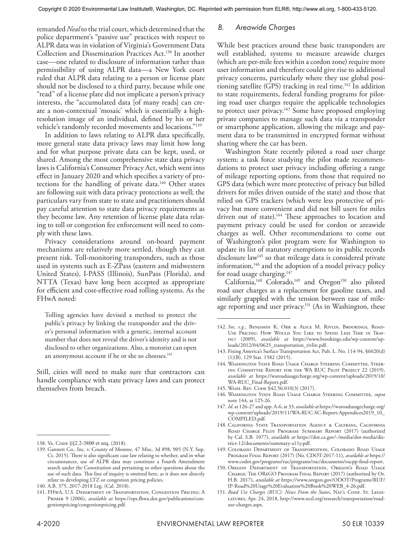remanded *Neal* to the trial court, which determined that the police department's "passive use" practices with respect to ALPR data was in violation of Virginia's Government Data Collection and Dissemination Practices Act.138 In another case—one related to disclosure of information rather than permissibility of using ALPR data—a New York court ruled that ALPR data relating to a person or license plate should not be disclosed to a third party, because while one "read" of a license plate did not implicate a person's privacy interests, the "accumulated data [of many reads] can create a non-contextual 'mosaic' which is essentially a highresolution image of an individual, defined by his or her vehicle's randomly recorded movements and locations."139

In addition to laws relating to ALPR data specifically, more general state data privacy laws may limit how long and for what purpose private data can be kept, used, or shared. Among the most comprehensive state data privacy laws is California's Consumer Privacy Act, which went into effect in January 2020 and which specifies a variety of protections for the handling of private data.<sup>140</sup> Other states are following suit with data privacy protections as well; the particulars vary from state to state and practitioners should pay careful attention to state data privacy requirements as they become law. Any retention of license plate data relating to toll or congestion fee enforcement will need to comply with these laws.

Privacy considerations around on-board payment mechanisms are relatively more settled, though they can present risk. Toll-monitoring transponders, such as those used in systems such as E-ZPass (eastern and midwestern United States), I-PASS (Illinois), SunPass (Florida), and NTTA (Texas) have long been accepted as appropriate for efficient and cost-effective road tolling systems. As the FHwA noted:

Tolling agencies have devised a method to protect the public's privacy by linking the transponder and the driver's personal information with a generic, internal account number that does not reveal the driver's identity and is not disclosed to other organizations. Also, a motorist can open an anonymous account if he or she so chooses.<sup>141</sup>

Still, cities will need to make sure that contractors can handle compliance with state privacy laws and can protect themselves from breach.

## *B. Areawide Charges*

While best practices around these basic transponders are well established, systems to measure areawide charges (which are per-mile fees within a cordon zone) require more user information and therefore could give rise to additional privacy concerns, particularly where they use global positioning satellite  $(GPS)$  tracking in real time.<sup>142</sup> In addition to state requirements, federal funding programs for piloting road user charges require the applicable technologies to protect user privacy.<sup>143</sup> Some have proposed employing private companies to manage such data via a transponder or smartphone application, allowing the mileage and payment data to be transmitted in encrypted format without sharing where the car has been.

Washington State recently piloted a road user charge system; a task force studying the pilot made recommendations to protect user privacy including offering a range of mileage reporting options, from those that required no GPS data (which were more protective of privacy but billed drivers for miles driven outside of the state) and those that relied on GPS trackers (which were less protective of privacy but more convenient and did not bill users for miles driven out of state).<sup>144</sup> These approaches to location and payment privacy could be used for cordon or areawide charges as well. Other recommendations to come out of Washington's pilot program were for Washington to update its list of statutory exemptions to its public records disclosure law145 so that mileage data is considered private information,146 and the adoption of a model privacy policy for road usage charging.<sup>147</sup>

California,<sup>148</sup> Colorado,<sup>149</sup> and Oregon<sup>150</sup> also piloted road user charges as a replacement for gasoline taxes, and similarly grappled with the tension between ease of mileage reporting and user privacy.<sup>151</sup> (As in Washington, these

- 143. Fixing America's Surface Transportation Act, Pub. L. No. 114-94, §6020(d) (1)(B), 129 Stat. 1582 (2015).
- 144. Washington State Road Usage Charge Steering Committee, Steering Committee Report for the WA RUC Pilot Project 22 (2019), *available at* https://waroadusagecharge.org/wp-content/uploads/2019/10/ WA-RUC\_Final-Report.pdf.
- 145. Wash. Rev. Code §42.56.010(3) (2017).
- 146. Washington State Road Usage Charge Steering Committee, *supra* note 144, at 125-26.
- 147. *Id*. at 126-27 and app. A-6, at 33, *available at* https://waroadusagecharge.org/ wp-content/uploads/2019/11/WA-RUC-SC-Report-Appendices2019\_10\_ COMPILED.pdf.
- 148. California State Transportation Agency & Caltrans, California Road Charge Pilot Program: Summary Report (2017) (authorized by Cal. S.B. 1077), *available at* https://dot.ca.gov/-/media/dot-media/district-12/documents/summary-a11y.pdf.
- 149. Colorado Department of Transportation, Colorado Road Usage Program Final Report (2017) (No. CDOT-2017-11), *available at* https:// www.codot.gov/programs/ruc/programs/ruc/documents/rucpp-final-report.
- 150. Oregon Department of Transportation, Oregon's Road Usage Charge: The OReGO Program Final Report (2017) (authorized by Or. H.B. 2017), *available at* https://www.oregon.gov/ODOT/Programs/RUF/ IP-Road%20Usage%20Evaluation%20Book%20WEB\_4-26.pdf.
- 151. Road Use Charges (RUC): News From the States, NAT'L CONF. ST. LEGISlatures, Apr. 24, 2018, http://www.ncsl.org/research/transportation/roaduse-charges.aspx.

<sup>138.</sup> Va. CODE §§2.2-3800 et seq. (2018).

<sup>139.</sup> Gannett Co., Inc. v. County of Monroe, 47 Misc. 3d 898, 905 (N.Y. Sup. Ct. 2015). There is also significant case law relating to whether, and in what circumstances, use of ALPR data may constitute a Fourth Amendment search under the Constitution and pertaining to other questions about the use of such data. This line of inquiry is omitted here, as it does not directly relate to developing LTZ or congestion pricing policies.

<sup>140.</sup> A.B. 375, 2017-2018 Leg. (Cal. 2018).

<sup>141.</sup> FHwA, U.S. Department of Transportation, Congestion Pricing: A Primer 9 (2006), *available at* https://ops.fhwa.dot.gov/publications/congestionpricing/congestionpricing.pdf.

<sup>142.</sup> *See*, *e.g.*, Benjamin K. Orr & Alice M. Rivlin, Brookings, Road-Use Pricing: How Would You Like to Spend Less Time in Traffic? (2009), *available at* https://www.brookings.edu/wp-content/uploads/2012/04/0625\_transportation\_rivlin.pdf.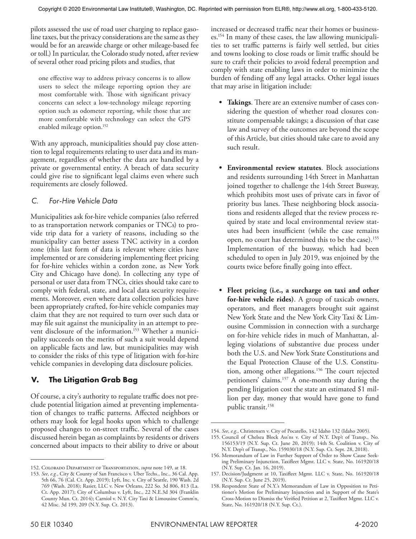pilots assessed the use of road user charging to replace gasoline taxes, but the privacy considerations are the same as they would be for an areawide charge or other mileage-based fee or toll.) In particular, the Colorado study noted, after review of several other road pricing pilots and studies, that

one effective way to address privacy concerns is to allow users to select the mileage reporting option they are most comfortable with. Those with significant privacy concerns can select a low-technology mileage reporting option such as odometer reporting, while those that are more comfortable with technology can select the GPS enabled mileage option.<sup>152</sup>

With any approach, municipalities should pay close attention to legal requirements relating to user data and its management, regardless of whether the data are handled by a private or governmental entity. A breach of data security could give rise to significant legal claims even where such requirements are closely followed.

## *C. For-Hire Vehicle Data*

Municipalities ask for-hire vehicle companies (also referred to as transportation network companies or TNCs) to provide trip data for a variety of reasons, including so the municipality can better assess TNC activity in a cordon zone (this last form of data is relevant where cities have implemented or are considering implementing fleet pricing for for-hire vehicles within a cordon zone, as New York City and Chicago have done). In collecting any type of personal or user data from TNCs, cities should take care to comply with federal, state, and local data security requirements. Moreover, even where data collection policies have been appropriately crafted, for-hire vehicle companies may claim that they are not required to turn over such data or may file suit against the municipality in an attempt to prevent disclosure of the information.<sup>153</sup> Whether a municipality succeeds on the merits of such a suit would depend on applicable facts and law, but municipalities may wish to consider the risks of this type of litigation with for-hire vehicle companies in developing data disclosure policies.

## **V. The Litigation Grab Bag**

Of course, a city's authority to regulate traffic does not preclude potential litigation aimed at preventing implementation of changes to traffic patterns. Affected neighbors or others may look for legal hooks upon which to challenge proposed changes to on-street traffic. Several of the cases discussed herein began as complaints by residents or drivers concerned about impacts to their ability to drive or about increased or decreased traffic near their homes or businesses.154 In many of these cases, the law allowing municipalities to set traffic patterns is fairly well settled, but cities and towns looking to close roads or limit traffic should be sure to craft their policies to avoid federal preemption and comply with state enabling laws in order to minimize the burden of fending off any legal attacks. Other legal issues that may arise in litigation include:

- **• Takings**. There are an extensive number of cases considering the question of whether road closures constitute compensable takings; a discussion of that case law and survey of the outcomes are beyond the scope of this Article, but cities should take care to avoid any such result.
- **• Environmental review statutes**. Block associations and residents surrounding 14th Street in Manhattan joined together to challenge the 14th Street Busway, which prohibits most uses of private cars in favor of priority bus lanes. These neighboring block associations and residents alleged that the review process required by state and local environmental review statutes had been insufficient (while the case remains open, no court has determined this to be the case).<sup>155</sup> Implementation of the busway, which had been scheduled to open in July 2019, was enjoined by the courts twice before finally going into effect.
- **• Fleet pricing (i.e., a surcharge on taxi and other for-hire vehicle rides)**. A group of taxicab owners, operators, and fleet managers brought suit against New York State and the New York City Taxi & Limousine Commission in connection with a surcharge on for-hire vehicle rides in much of Manhattan, alleging violations of substantive due process under both the U.S. and New York State Constitutions and the Equal Protection Clause of the U.S. Constitution, among other allegations.<sup>156</sup> The court rejected petitioners' claims.<sup>157</sup> A one-month stay during the pending litigation cost the state an estimated \$1 million per day, money that would have gone to fund public transit.<sup>158</sup>

<sup>152.</sup> Colorado Department of Transportation, *supra* note 149, at 18.

<sup>153.</sup> *See*, *e.g.*, City & County of San Francisco v. Uber Techs., Inc., 36 Cal. App. 5th 66, 76 (Cal. Ct. App. 2019); Lyft, Inc. v. City of Seattle, 190 Wash. 2d 769 (Wash. 2018); Rasier, LLC v. New Orleans, 222 So. 3d 806, 813 (La. Ct. App. 2017); City of Columbus v. Lyft, Inc., 22 N.E.3d 304 (Franklin County Mun. Ct. 2014); Carniol v. N.Y. City Taxi & Limousine Comm'n, 42 Misc. 3d 199, 209 (N.Y. Sup. Ct. 2013).

<sup>154.</sup> *See*, *e.g.*, Christensen v. City of Pocatello, 142 Idaho 132 (Idaho 2005).

<sup>155.</sup> Council of Chelsea Block Ass'ns v. City of N.Y. Dep't of Transp., No. 156153/19 (N.Y. Sup. Ct. June 20, 2019); 14th St. Coalition v. City of N.Y. Dep't of Transp., No. 159030/18 (N.Y. Sup. Ct. Sept. 28, 2018).

<sup>156.</sup> Memorandum of Law in Further Support of Order to Show Cause Seeking Preliminary Injunction, Taxifleet Mgmt. LLC v. State, No. 161920/18 (N.Y. Sup. Ct. Jan. 16, 2019).

<sup>157.</sup> Decision/Judgment at 10, Taxifleet Mgmt. LLC v. State, No. 161920/18 (N.Y. Sup. Ct. June 25, 2019).

<sup>158.</sup> Respondent State of N.Y.'s Memorandum of Law in Opposition to Petitioner's Motion for Preliminary Injunction and in Support of the State's Cross-Motion to Dismiss the Verified Petition at 2, Taxifleet Mgmt. LLC v. State, No. 161920/18 (N.Y. Sup. Ct.).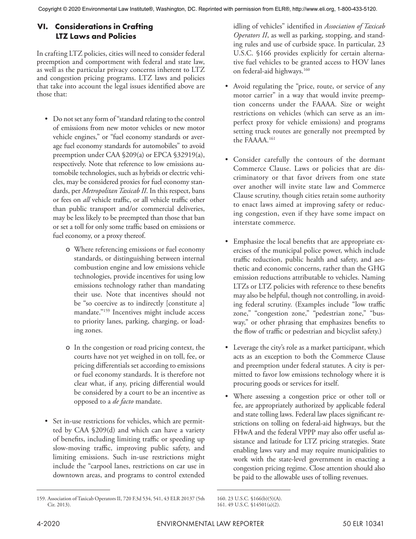## **VI. Considerations in Crafting LTZ Laws and Policies**

In crafting LTZ policies, cities will need to consider federal preemption and comportment with federal and state law, as well as the particular privacy concerns inherent to LTZ and congestion pricing programs. LTZ laws and policies that take into account the legal issues identified above are those that:

- Do not set any form of "standard relating to the control of emissions from new motor vehicles or new motor vehicle engines," or "fuel economy standards or average fuel economy standards for automobiles" to avoid preemption under CAA §209(a) or EPCA §32919(a), respectively. Note that reference to low emissions automobile technologies, such as hybrids or electric vehicles, may be considered proxies for fuel economy standards, per *Metropolitan Taxicab II*. In this respect, bans or fees on *all* vehicle traffic, or all vehicle traffic other than public transport and/or commercial deliveries, may be less likely to be preempted than those that ban or set a toll for only some traffic based on emissions or fuel economy, or a proxy thereof.
	- o Where referencing emissions or fuel economy standards, or distinguishing between internal combustion engine and low emissions vehicle technologies, provide incentives for using low emissions technology rather than mandating their use. Note that incentives should not be "so coercive as to indirectly [constitute a] mandate."159 Incentives might include access to priority lanes, parking, charging, or loading zones.
	- o In the congestion or road pricing context, the courts have not yet weighed in on toll, fee, or pricing differentials set according to emissions or fuel economy standards. It is therefore not clear what, if any, pricing differential would be considered by a court to be an incentive as opposed to a *de facto* mandate.
- Set in-use restrictions for vehicles, which are permitted by CAA §209(d) and which can have a variety of benefits, including limiting traffic or speeding up slow-moving traffic, improving public safety, and limiting emissions. Such in-use restrictions might include the "carpool lanes, restrictions on car use in downtown areas, and programs to control extended

idling of vehicles" identified in *Association of Taxicab Operators II*, as well as parking, stopping, and standing rules and use of curbside space. In particular, 23 U.S.C. §166 provides explicitly for certain alternative fuel vehicles to be granted access to HOV lanes on federal-aid highways.<sup>160</sup>

- Avoid regulating the "price, route, or service of any motor carrier" in a way that would invite preemption concerns under the FAAAA. Size or weight restrictions on vehicles (which can serve as an imperfect proxy for vehicle emissions) and programs setting truck routes are generally not preempted by the FAAAA.161
- Consider carefully the contours of the dormant Commerce Clause. Laws or policies that are discriminatory or that favor drivers from one state over another will invite state law and Commerce Clause scrutiny, though cities retain some authority to enact laws aimed at improving safety or reducing congestion, even if they have some impact on interstate commerce.
- Emphasize the local benefits that are appropriate exercises of the municipal police power, which include traffic reduction, public health and safety, and aesthetic and economic concerns, rather than the GHG emission reductions attributable to vehicles. Naming LTZs or LTZ policies with reference to these benefits may also be helpful, though not controlling, in avoiding federal scrutiny. (Examples include "low traffic zone," "congestion zone," "pedestrian zone," "busway," or other phrasing that emphasizes benefits to the flow of traffic or pedestrian and bicyclist safety.)
- Leverage the city's role as a market participant, which acts as an exception to both the Commerce Clause and preemption under federal statutes. A city is permitted to favor low emissions technology where it is procuring goods or services for itself.
- Where assessing a congestion price or other toll or fee, are appropriately authorized by applicable federal and state tolling laws. Federal law places significant restrictions on tolling on federal-aid highways, but the FHwA and the federal VPPP may also offer useful assistance and latitude for LTZ pricing strategies. State enabling laws vary and may require municipalities to work with the state-level government in enacting a congestion pricing regime. Close attention should also be paid to the allowable uses of tolling revenues.

<sup>159.</sup> Association of Taxicab Operators II, 720 F.3d 534, 541, 43 ELR 20137 (5th Cir. 2013).

<sup>160.</sup> 23 U.S.C. §166(b)(5)(A). 161. 49 U.S.C. §14501(a)(2).